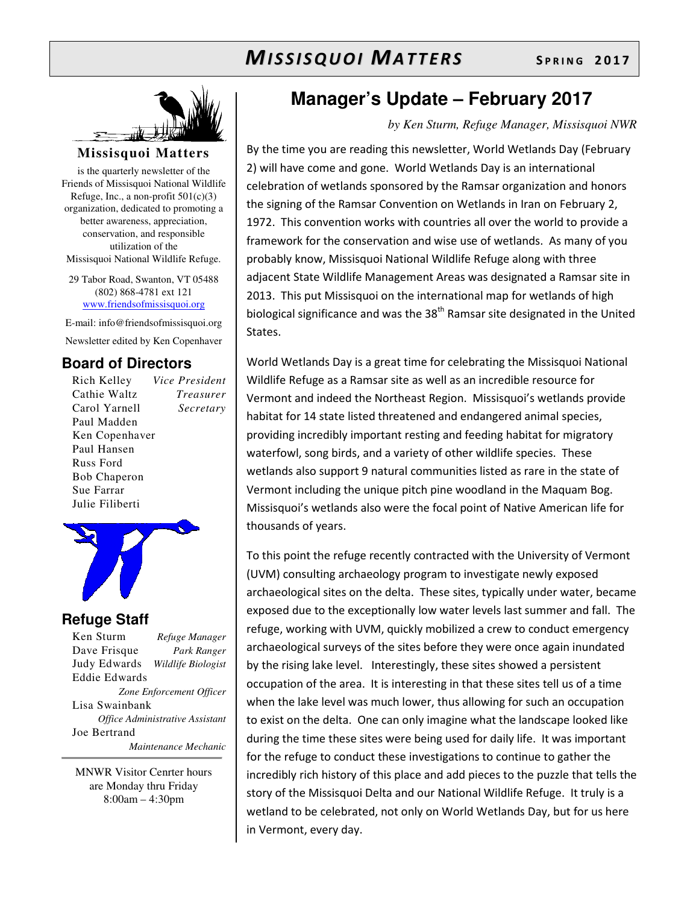

#### **Missisquoi Matters**

is the quarterly newsletter of the Friends of Missisquoi National Wildlife Refuge, Inc., a non-profit  $501(c)(3)$ organization, dedicated to promoting a better awareness, appreciation, conservation, and responsible utilization of the Missisquoi National Wildlife Refuge.

29 Tabor Road, Swanton, VT 05488 (802) 868-4781 ext 121 www.friendsofmissisquoi.org

E-mail: info@friendsofmissisquoi.org Newsletter edited by Ken Copenhaver

#### **Board of Directors**

Rich Kelley *Vice President* Cathie Waltz *Treasurer* Carol Yarnell *Secretary*  Paul Madden Ken Copenhaver Paul Hansen Russ Ford Bob Chaperon Sue Farrar Julie Filiberti



#### **Refuge Staff**

Ken Sturm *Refuge Manager* Dave Frisque *Park Ranger* Judy Edwards *Wildlife Biologist* Eddie Edwards *Zone Enforcement Officer* Lisa Swainbank *Office Administrative Assistant*  Joe Bertrand  *Maintenance Mechanic*

MNWR Visitor Cenrter hours are Monday thru Friday 8:00am – 4:30pm

## **Manager's Update – February 2017**

#### *by Ken Sturm, Refuge Manager, Missisquoi NWR*

By the time you are reading this newsletter, World Wetlands Day (February 2) will have come and gone. World Wetlands Day is an international celebration of wetlands sponsored by the Ramsar organization and honors the signing of the Ramsar Convention on Wetlands in Iran on February 2, 1972. This convention works with countries all over the world to provide a framework for the conservation and wise use of wetlands. As many of you probably know, Missisquoi National Wildlife Refuge along with three adjacent State Wildlife Management Areas was designated a Ramsar site in 2013. This put Missisquoi on the international map for wetlands of high biological significance and was the 38<sup>th</sup> Ramsar site designated in the United States.

World Wetlands Day is a great time for celebrating the Missisquoi National Wildlife Refuge as a Ramsar site as well as an incredible resource for Vermont and indeed the Northeast Region. Missisquoi's wetlands provide habitat for 14 state listed threatened and endangered animal species, providing incredibly important resting and feeding habitat for migratory waterfowl, song birds, and a variety of other wildlife species. These wetlands also support 9 natural communities listed as rare in the state of Vermont including the unique pitch pine woodland in the Maquam Bog. Missisquoi's wetlands also were the focal point of Native American life for thousands of years.

To this point the refuge recently contracted with the University of Vermont (UVM) consulting archaeology program to investigate newly exposed archaeological sites on the delta. These sites, typically under water, became exposed due to the exceptionally low water levels last summer and fall. The refuge, working with UVM, quickly mobilized a crew to conduct emergency archaeological surveys of the sites before they were once again inundated by the rising lake level. Interestingly, these sites showed a persistent occupation of the area. It is interesting in that these sites tell us of a time when the lake level was much lower, thus allowing for such an occupation to exist on the delta. One can only imagine what the landscape looked like during the time these sites were being used for daily life. It was important for the refuge to conduct these investigations to continue to gather the incredibly rich history of this place and add pieces to the puzzle that tells the story of the Missisquoi Delta and our National Wildlife Refuge. It truly is a wetland to be celebrated, not only on World Wetlands Day, but for us here in Vermont, every day.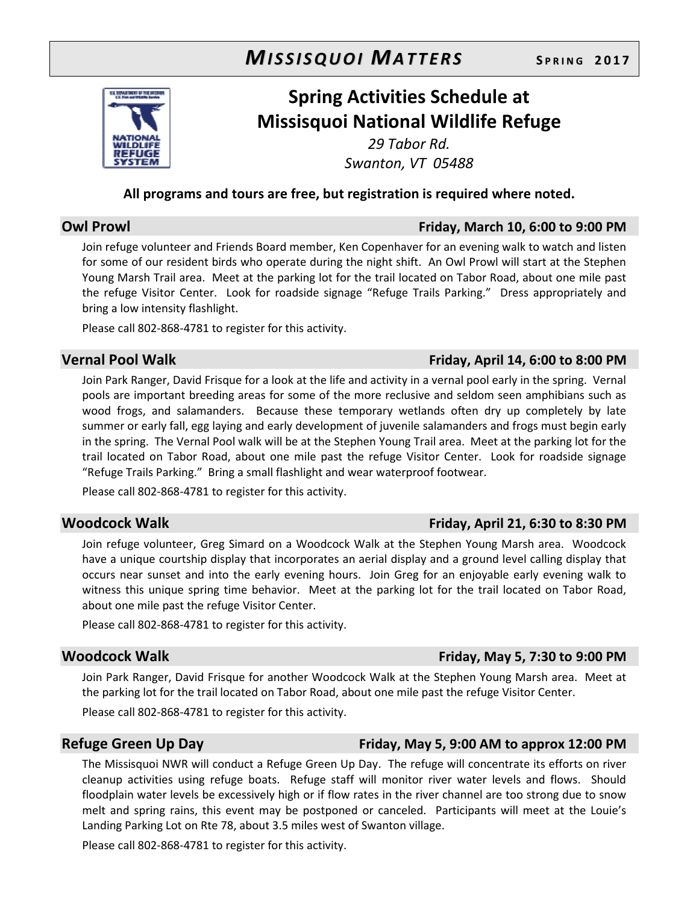

## **Spring Activities Schedule at Missisquoi National Wildlife Refuge**

*29 Tabor Rd. Swanton, VT 05488* 

#### **All programs and tours are free, but registration is required where noted.**

### **Owl Prowl Friday, March 10, 6:00 to 9:00 PM**

Join refuge volunteer and Friends Board member, Ken Copenhaver for an evening walk to watch and listen for some of our resident birds who operate during the night shift. An Owl Prowl will start at the Stephen Young Marsh Trail area. Meet at the parking lot for the trail located on Tabor Road, about one mile past the refuge Visitor Center. Look for roadside signage "Refuge Trails Parking." Dress appropriately and bring a low intensity flashlight.

Please call 802-868-4781 to register for this activity.

#### **Vernal Pool Walk Friday, April 14, 6:00 to 8:00 PM**

Join Park Ranger, David Frisque for a look at the life and activity in a vernal pool early in the spring. Vernal pools are important breeding areas for some of the more reclusive and seldom seen amphibians such as wood frogs, and salamanders. Because these temporary wetlands often dry up completely by late summer or early fall, egg laying and early development of juvenile salamanders and frogs must begin early in the spring. The Vernal Pool walk will be at the Stephen Young Trail area. Meet at the parking lot for the trail located on Tabor Road, about one mile past the refuge Visitor Center. Look for roadside signage "Refuge Trails Parking." Bring a small flashlight and wear waterproof footwear.

Please call 802-868-4781 to register for this activity.

#### **Woodcock Walk Friday, April 21, 6:30 to 8:30 PM**

Join refuge volunteer, Greg Simard on a Woodcock Walk at the Stephen Young Marsh area. Woodcock have a unique courtship display that incorporates an aerial display and a ground level calling display that occurs near sunset and into the early evening hours. Join Greg for an enjoyable early evening walk to witness this unique spring time behavior. Meet at the parking lot for the trail located on Tabor Road, about one mile past the refuge Visitor Center.

Please call 802-868-4781 to register for this activity.

#### **Woodcock Walk Friday, May 5, 7:30 to 9:00 PM**

Join Park Ranger, David Frisque for another Woodcock Walk at the Stephen Young Marsh area. Meet at the parking lot for the trail located on Tabor Road, about one mile past the refuge Visitor Center.

Please call 802-868-4781 to register for this activity.

#### **Refuge Green Up Day Friday, May 5, 9:00 AM to approx 12:00 PM**

The Missisquoi NWR will conduct a Refuge Green Up Day. The refuge will concentrate its efforts on river cleanup activities using refuge boats. Refuge staff will monitor river water levels and flows. Should floodplain water levels be excessively high or if flow rates in the river channel are too strong due to snow melt and spring rains, this event may be postponed or canceled. Participants will meet at the Louie's Landing Parking Lot on Rte 78, about 3.5 miles west of Swanton village.

Please call 802-868-4781 to register for this activity.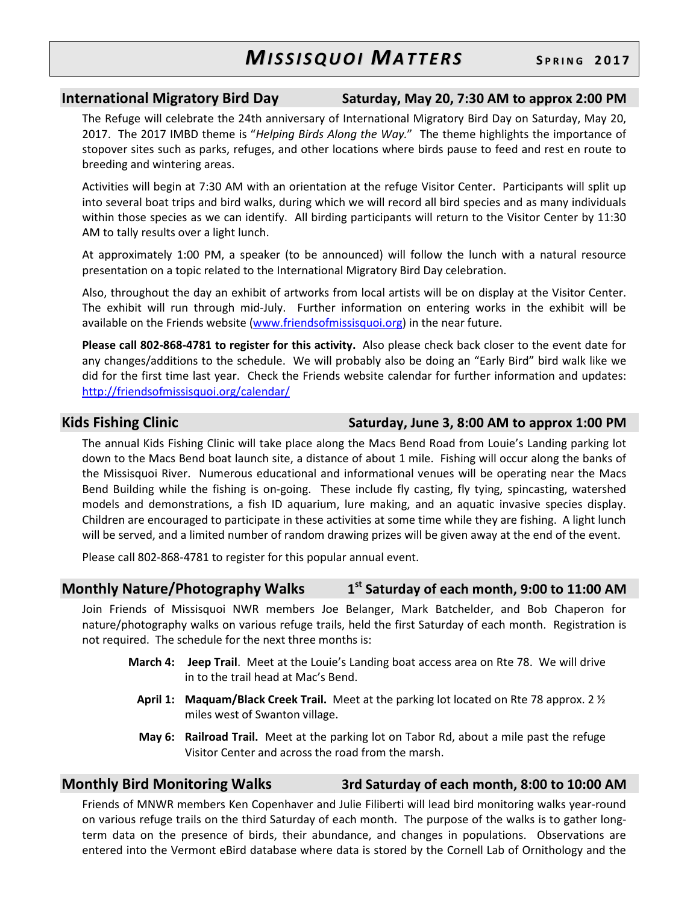#### **International Migratory Bird Day Saturday, May 20, 7:30 AM to approx 2:00 PM**

The Refuge will celebrate the 24th anniversary of International Migratory Bird Day on Saturday, May 20, 2017. The 2017 IMBD theme is "*Helping Birds Along the Way.*" The theme highlights the importance of stopover sites such as parks, refuges, and other locations where birds pause to feed and rest en route to breeding and wintering areas.

Activities will begin at 7:30 AM with an orientation at the refuge Visitor Center. Participants will split up into several boat trips and bird walks, during which we will record all bird species and as many individuals within those species as we can identify. All birding participants will return to the Visitor Center by 11:30 AM to tally results over a light lunch.

At approximately 1:00 PM, a speaker (to be announced) will follow the lunch with a natural resource presentation on a topic related to the International Migratory Bird Day celebration.

Also, throughout the day an exhibit of artworks from local artists will be on display at the Visitor Center. The exhibit will run through mid-July. Further information on entering works in the exhibit will be available on the Friends website (www.friendsofmissisquoi.org) in the near future.

**Please call 802-868-4781 to register for this activity.** Also please check back closer to the event date for any changes/additions to the schedule. We will probably also be doing an "Early Bird" bird walk like we did for the first time last year. Check the Friends website calendar for further information and updates: http://friendsofmissisquoi.org/calendar/

#### **Kids Fishing Clinic Saturday, June 3, 8:00 AM to approx 1:00 PM**

The annual Kids Fishing Clinic will take place along the Macs Bend Road from Louie's Landing parking lot down to the Macs Bend boat launch site, a distance of about 1 mile. Fishing will occur along the banks of the Missisquoi River. Numerous educational and informational venues will be operating near the Macs Bend Building while the fishing is on-going. These include fly casting, fly tying, spincasting, watershed models and demonstrations, a fish ID aquarium, lure making, and an aquatic invasive species display. Children are encouraged to participate in these activities at some time while they are fishing. A light lunch will be served, and a limited number of random drawing prizes will be given away at the end of the event.

Please call 802-868-4781 to register for this popular annual event.

#### **Monthly Nature/Photography Walks 1 st Saturday of each month, 9:00 to 11:00 AM**

Join Friends of Missisquoi NWR members Joe Belanger, Mark Batchelder, and Bob Chaperon for nature/photography walks on various refuge trails, held the first Saturday of each month. Registration is not required. The schedule for the next three months is:

- **March 4: Jeep Trail**. Meet at the Louie's Landing boat access area on Rte 78. We will drive in to the trail head at Mac's Bend.
	- **April 1: Maquam/Black Creek Trail.** Meet at the parking lot located on Rte 78 approx. 2 ½ miles west of Swanton village.
	- **May 6: Railroad Trail.** Meet at the parking lot on Tabor Rd, about a mile past the refuge Visitor Center and across the road from the marsh.

#### **Monthly Bird Monitoring Walks 3rd Saturday of each month, 8:00 to 10:00 AM**

Friends of MNWR members Ken Copenhaver and Julie Filiberti will lead bird monitoring walks year-round on various refuge trails on the third Saturday of each month. The purpose of the walks is to gather longterm data on the presence of birds, their abundance, and changes in populations. Observations are entered into the Vermont eBird database where data is stored by the Cornell Lab of Ornithology and the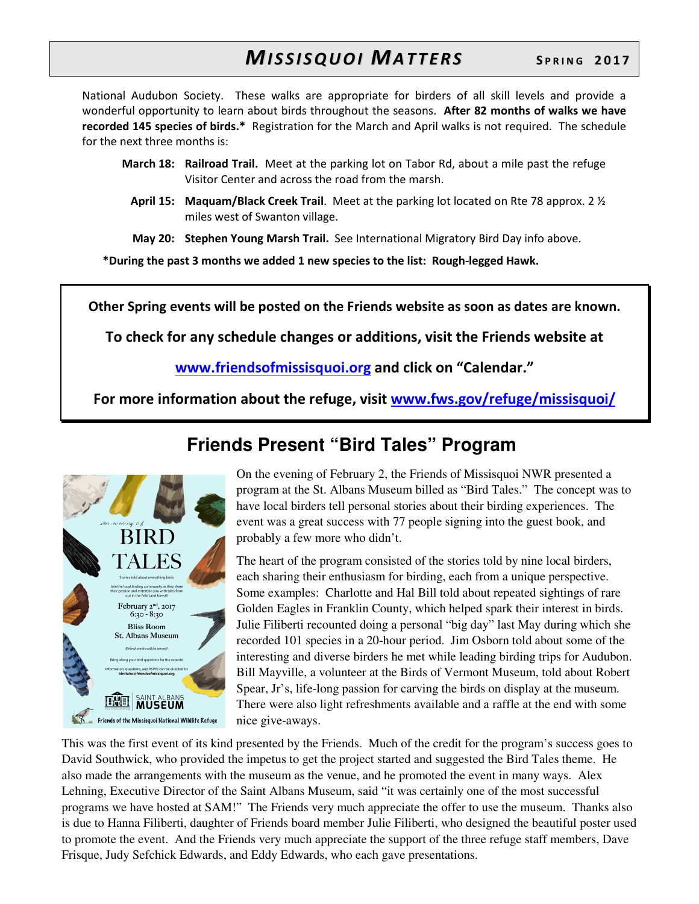National Audubon Society. These walks are appropriate for birders of all skill levels and provide a wonderful opportunity to learn about birds throughout the seasons. **After 82 months of walks we have recorded 145 species of birds.\*** Registration for the March and April walks is not required. The schedule for the next three months is:

- **March 18: Railroad Trail.** Meet at the parking lot on Tabor Rd, about a mile past the refuge Visitor Center and across the road from the marsh.
	- **April 15: Maquam/Black Creek Trail**. Meet at the parking lot located on Rte 78 approx. 2 ½ miles west of Swanton village.

 **May 20: Stephen Young Marsh Trail.** See International Migratory Bird Day info above.

**\*During the past 3 months we added 1 new species to the list: Rough-legged Hawk.** 

**Other Spring events will be posted on the Friends website as soon as dates are known.** 

**To check for any schedule changes or additions, visit the Friends website at** 

**www.friendsofmissisquoi.org and click on "Calendar."** 

**For more information about the refuge, visit www.fws.gov/refuge/missisquoi/**



## **Friends Present "Bird Tales" Program**

On the evening of February 2, the Friends of Missisquoi NWR presented a program at the St. Albans Museum billed as "Bird Tales." The concept was to have local birders tell personal stories about their birding experiences. The event was a great success with 77 people signing into the guest book, and probably a few more who didn't.

The heart of the program consisted of the stories told by nine local birders, each sharing their enthusiasm for birding, each from a unique perspective. Some examples: Charlotte and Hal Bill told about repeated sightings of rare Golden Eagles in Franklin County, which helped spark their interest in birds. Julie Filiberti recounted doing a personal "big day" last May during which she recorded 101 species in a 20-hour period. Jim Osborn told about some of the interesting and diverse birders he met while leading birding trips for Audubon. Bill Mayville, a volunteer at the Birds of Vermont Museum, told about Robert Spear, Jr's, life-long passion for carving the birds on display at the museum. There were also light refreshments available and a raffle at the end with some nice give-aways.

This was the first event of its kind presented by the Friends. Much of the credit for the program's success goes to David Southwick, who provided the impetus to get the project started and suggested the Bird Tales theme. He also made the arrangements with the museum as the venue, and he promoted the event in many ways. Alex Lehning, Executive Director of the Saint Albans Museum, said "it was certainly one of the most successful programs we have hosted at SAM!" The Friends very much appreciate the offer to use the museum. Thanks also is due to Hanna Filiberti, daughter of Friends board member Julie Filiberti, who designed the beautiful poster used to promote the event. And the Friends very much appreciate the support of the three refuge staff members, Dave Frisque, Judy Sefchick Edwards, and Eddy Edwards, who each gave presentations.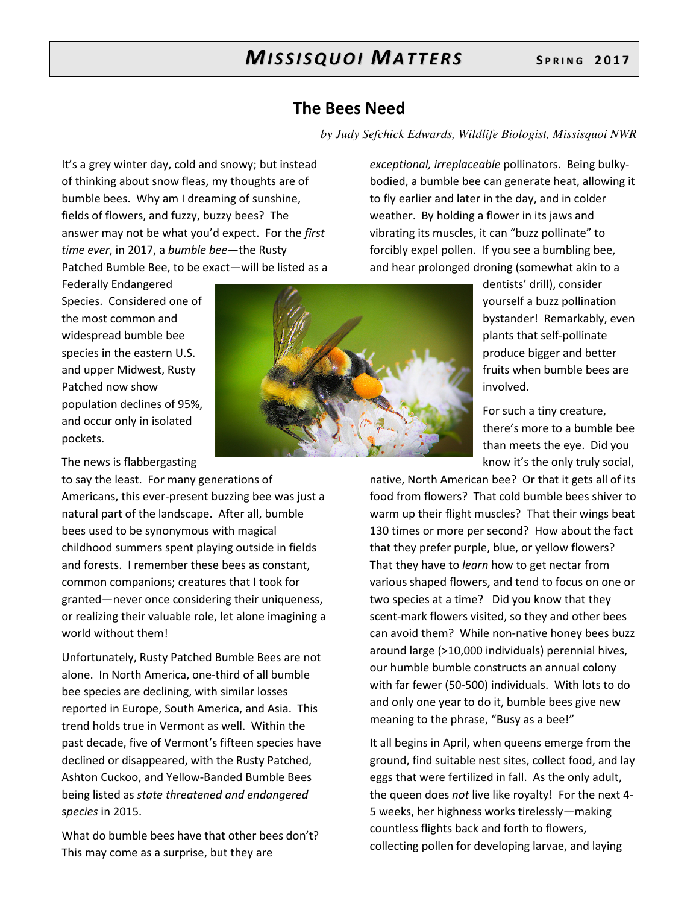### **The Bees Need**

*by Judy Sefchick Edwards, Wildlife Biologist, Missisquoi NWR*

It's a grey winter day, cold and snowy; but instead of thinking about snow fleas, my thoughts are of bumble bees. Why am I dreaming of sunshine, fields of flowers, and fuzzy, buzzy bees? The answer may not be what you'd expect. For the *first time ever*, in 2017, a *bumble bee*—the Rusty Patched Bumble Bee, to be exact—will be listed as a

Federally Endangered Species. Considered one of the most common and widespread bumble bee species in the eastern U.S. and upper Midwest, Rusty Patched now show population declines of 95%, and occur only in isolated pockets.

The news is flabbergasting

to say the least. For many generations of Americans, this ever-present buzzing bee was just a natural part of the landscape. After all, bumble bees used to be synonymous with magical childhood summers spent playing outside in fields and forests. I remember these bees as constant, common companions; creatures that I took for granted—never once considering their uniqueness, or realizing their valuable role, let alone imagining a world without them!

Unfortunately, Rusty Patched Bumble Bees are not alone. In North America, one-third of all bumble bee species are declining, with similar losses reported in Europe, South America, and Asia. This trend holds true in Vermont as well. Within the past decade, five of Vermont's fifteen species have declined or disappeared, with the Rusty Patched, Ashton Cuckoo, and Yellow-Banded Bumble Bees being listed as *state threatened and endangered* s*pecies* in 2015.

What do bumble bees have that other bees don't? This may come as a surprise, but they are

*exceptional, irreplaceable* pollinators. Being bulkybodied, a bumble bee can generate heat, allowing it to fly earlier and later in the day, and in colder weather. By holding a flower in its jaws and vibrating its muscles, it can "buzz pollinate" to forcibly expel pollen. If you see a bumbling bee, and hear prolonged droning (somewhat akin to a

> dentists' drill), consider yourself a buzz pollination bystander! Remarkably, even plants that self-pollinate produce bigger and better fruits when bumble bees are involved.

> For such a tiny creature, there's more to a bumble bee than meets the eye. Did you know it's the only truly social,

native, North American bee? Or that it gets all of its food from flowers? That cold bumble bees shiver to warm up their flight muscles? That their wings beat 130 times or more per second? How about the fact that they prefer purple, blue, or yellow flowers? That they have to *learn* how to get nectar from various shaped flowers, and tend to focus on one or two species at a time? Did you know that they scent-mark flowers visited, so they and other bees can avoid them? While non-native honey bees buzz around large (>10,000 individuals) perennial hives, our humble bumble constructs an annual colony with far fewer (50-500) individuals. With lots to do and only one year to do it, bumble bees give new meaning to the phrase, "Busy as a bee!"

It all begins in April, when queens emerge from the ground, find suitable nest sites, collect food, and lay eggs that were fertilized in fall. As the only adult, the queen does *not* live like royalty! For the next 4- 5 weeks, her highness works tirelessly—making countless flights back and forth to flowers, collecting pollen for developing larvae, and laying

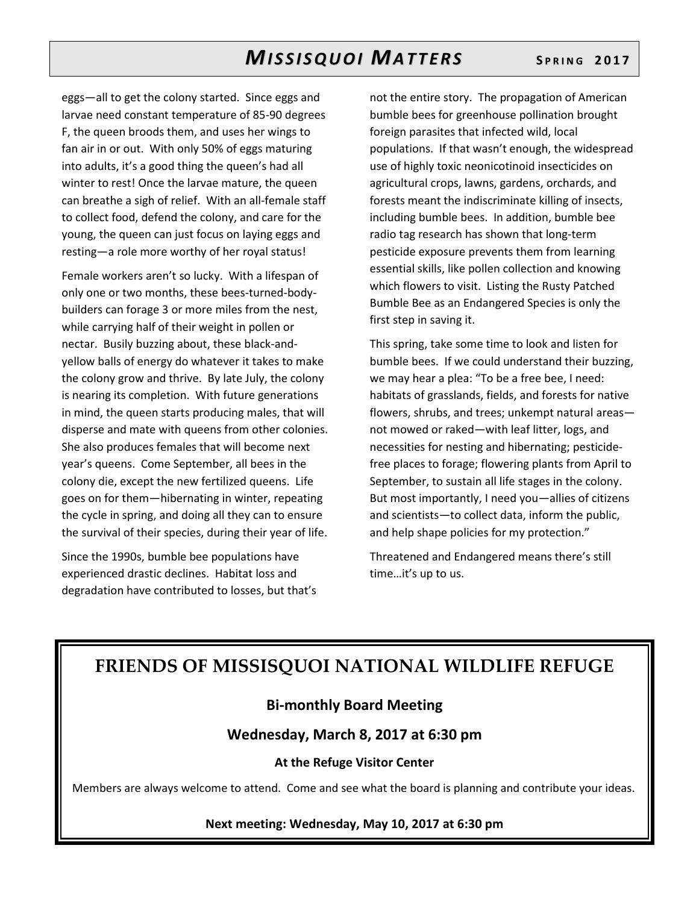eggs—all to get the colony started. Since eggs and larvae need constant temperature of 85-90 degrees F, the queen broods them, and uses her wings to fan air in or out. With only 50% of eggs maturing into adults, it's a good thing the queen's had all winter to rest! Once the larvae mature, the queen can breathe a sigh of relief. With an all-female staff to collect food, defend the colony, and care for the young, the queen can just focus on laying eggs and resting—a role more worthy of her royal status!

Female workers aren't so lucky. With a lifespan of only one or two months, these bees-turned-bodybuilders can forage 3 or more miles from the nest, while carrying half of their weight in pollen or nectar. Busily buzzing about, these black-andyellow balls of energy do whatever it takes to make the colony grow and thrive. By late July, the colony is nearing its completion. With future generations in mind, the queen starts producing males, that will disperse and mate with queens from other colonies. She also produces females that will become next year's queens. Come September, all bees in the colony die, except the new fertilized queens. Life goes on for them—hibernating in winter, repeating the cycle in spring, and doing all they can to ensure the survival of their species, during their year of life.

Since the 1990s, bumble bee populations have experienced drastic declines. Habitat loss and degradation have contributed to losses, but that's

not the entire story. The propagation of American bumble bees for greenhouse pollination brought foreign parasites that infected wild, local populations. If that wasn't enough, the widespread use of highly toxic neonicotinoid insecticides on agricultural crops, lawns, gardens, orchards, and forests meant the indiscriminate killing of insects, including bumble bees. In addition, bumble bee radio tag research has shown that long-term pesticide exposure prevents them from learning essential skills, like pollen collection and knowing which flowers to visit. Listing the Rusty Patched Bumble Bee as an Endangered Species is only the first step in saving it.

This spring, take some time to look and listen for bumble bees. If we could understand their buzzing, we may hear a plea: "To be a free bee, I need: habitats of grasslands, fields, and forests for native flowers, shrubs, and trees; unkempt natural areas not mowed or raked—with leaf litter, logs, and necessities for nesting and hibernating; pesticidefree places to forage; flowering plants from April to September, to sustain all life stages in the colony. But most importantly, I need you—allies of citizens and scientists—to collect data, inform the public, and help shape policies for my protection."

Threatened and Endangered means there's still time…it's up to us.

## **FRIENDS OF MISSISQUOI NATIONAL WILDLIFE REFUGE**

#### **Bi-monthly Board Meeting**

#### **Wednesday, March 8, 2017 at 6:30 pm**

#### **At the Refuge Visitor Center**

Members are always welcome to attend. Come and see what the board is planning and contribute your ideas.

#### **Next meeting: Wednesday, May 10, 2017 at 6:30 pm**